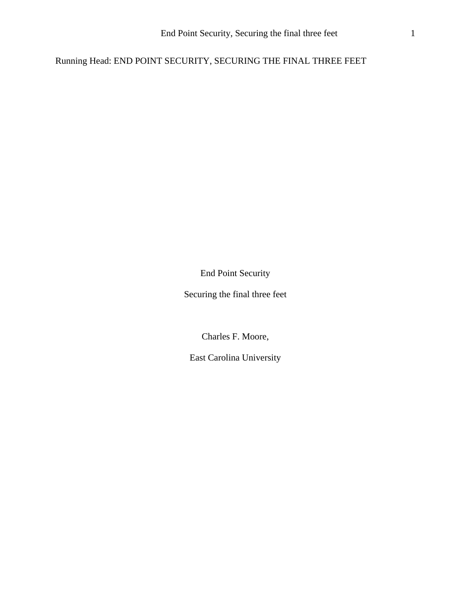Running Head: END POINT SECURITY, SECURING THE FINAL THREE FEET

End Point Security

Securing the final three feet

Charles F. Moore,

East Carolina University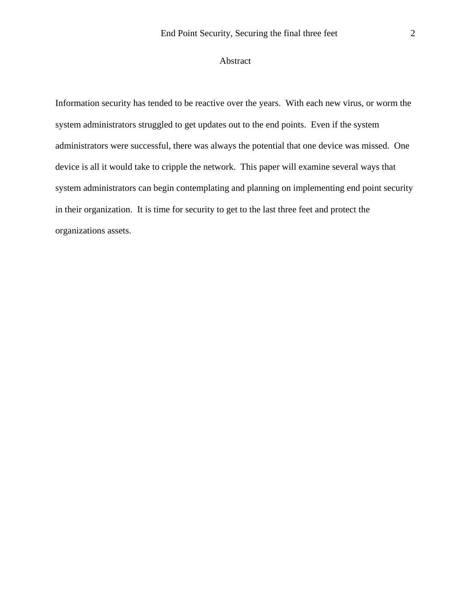## Abstract

Information security has tended to be reactive over the years. With each new virus, or worm the system administrators struggled to get updates out to the end points. Even if the system administrators were successful, there was always the potential that one device was missed. One device is all it would take to cripple the network. This paper will examine several ways that system administrators can begin contemplating and planning on implementing end point security in their organization. It is time for security to get to the last three feet and protect the organizations assets.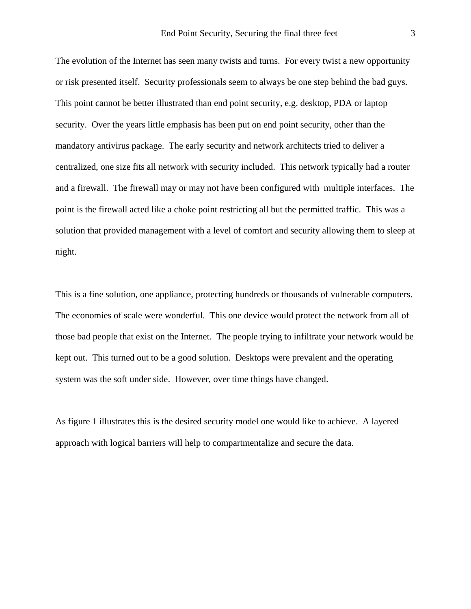The evolution of the Internet has seen many twists and turns. For every twist a new opportunity or risk presented itself. Security professionals seem to always be one step behind the bad guys. This point cannot be better illustrated than end point security, e.g. desktop, PDA or laptop security. Over the years little emphasis has been put on end point security, other than the mandatory antivirus package. The early security and network architects tried to deliver a centralized, one size fits all network with security included. This network typically had a router and a firewall. The firewall may or may not have been configured with multiple interfaces. The point is the firewall acted like a choke point restricting all but the permitted traffic. This was a solution that provided management with a level of comfort and security allowing them to sleep at night.

This is a fine solution, one appliance, protecting hundreds or thousands of vulnerable computers. The economies of scale were wonderful. This one device would protect the network from all of those bad people that exist on the Internet. The people trying to infiltrate your network would be kept out. This turned out to be a good solution. Desktops were prevalent and the operating system was the soft under side. However, over time things have changed.

As figure 1 illustrates this is the desired security model one would like to achieve. A layered approach with logical barriers will help to compartmentalize and secure the data.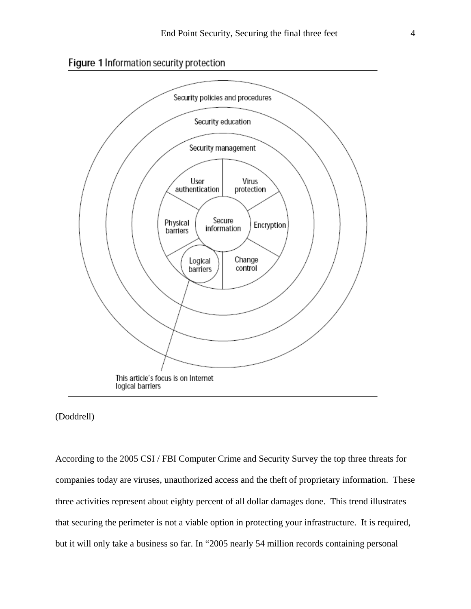



## (Doddrell)

According to the 2005 CSI / FBI Computer Crime and Security Survey the top three threats for companies today are viruses, unauthorized access and the theft of proprietary information. These three activities represent about eighty percent of all dollar damages done. This trend illustrates that securing the perimeter is not a viable option in protecting your infrastructure. It is required, but it will only take a business so far. In "2005 nearly 54 million records containing personal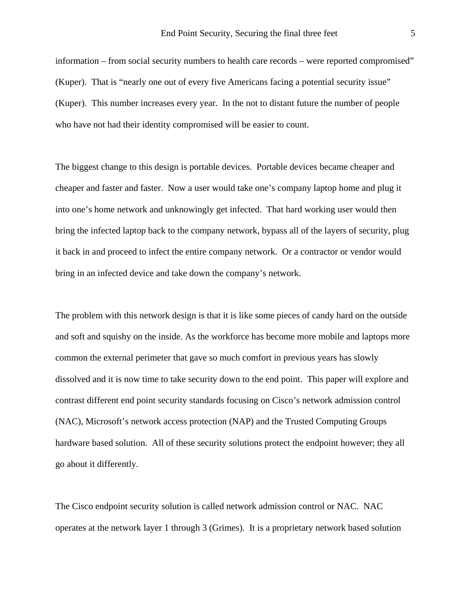information – from social security numbers to health care records – were reported compromised" (Kuper). That is "nearly one out of every five Americans facing a potential security issue" (Kuper). This number increases every year. In the not to distant future the number of people who have not had their identity compromised will be easier to count.

The biggest change to this design is portable devices. Portable devices became cheaper and cheaper and faster and faster. Now a user would take one's company laptop home and plug it into one's home network and unknowingly get infected. That hard working user would then bring the infected laptop back to the company network, bypass all of the layers of security, plug it back in and proceed to infect the entire company network. Or a contractor or vendor would bring in an infected device and take down the company's network.

The problem with this network design is that it is like some pieces of candy hard on the outside and soft and squishy on the inside. As the workforce has become more mobile and laptops more common the external perimeter that gave so much comfort in previous years has slowly dissolved and it is now time to take security down to the end point. This paper will explore and contrast different end point security standards focusing on Cisco's network admission control (NAC), Microsoft's network access protection (NAP) and the Trusted Computing Groups hardware based solution. All of these security solutions protect the endpoint however; they all go about it differently.

The Cisco endpoint security solution is called network admission control or NAC. NAC operates at the network layer 1 through 3 (Grimes). It is a proprietary network based solution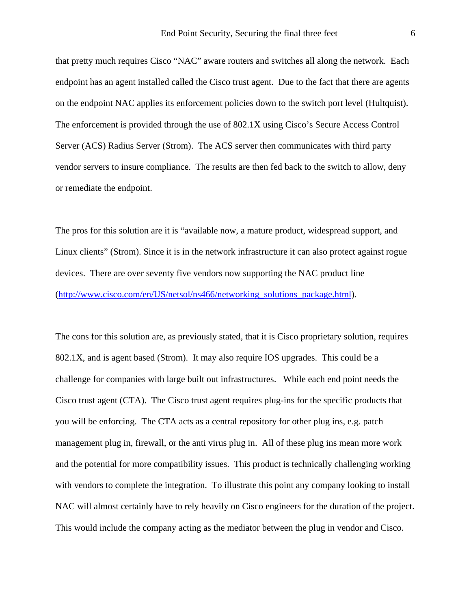that pretty much requires Cisco "NAC" aware routers and switches all along the network. Each endpoint has an agent installed called the Cisco trust agent. Due to the fact that there are agents on the endpoint NAC applies its enforcement policies down to the switch port level (Hultquist). The enforcement is provided through the use of 802.1X using Cisco's Secure Access Control Server (ACS) Radius Server (Strom). The ACS server then communicates with third party vendor servers to insure compliance. The results are then fed back to the switch to allow, deny or remediate the endpoint.

The pros for this solution are it is "available now, a mature product, widespread support, and Linux clients" (Strom). Since it is in the network infrastructure it can also protect against rogue devices. There are over seventy five vendors now supporting the NAC product line (http://www.cisco.com/en/US/netsol/ns466/networking\_solutions\_package.html).

The cons for this solution are, as previously stated, that it is Cisco proprietary solution, requires 802.1X, and is agent based (Strom). It may also require IOS upgrades. This could be a challenge for companies with large built out infrastructures. While each end point needs the Cisco trust agent (CTA). The Cisco trust agent requires plug-ins for the specific products that you will be enforcing. The CTA acts as a central repository for other plug ins, e.g. patch management plug in, firewall, or the anti virus plug in. All of these plug ins mean more work and the potential for more compatibility issues. This product is technically challenging working with vendors to complete the integration. To illustrate this point any company looking to install NAC will almost certainly have to rely heavily on Cisco engineers for the duration of the project. This would include the company acting as the mediator between the plug in vendor and Cisco.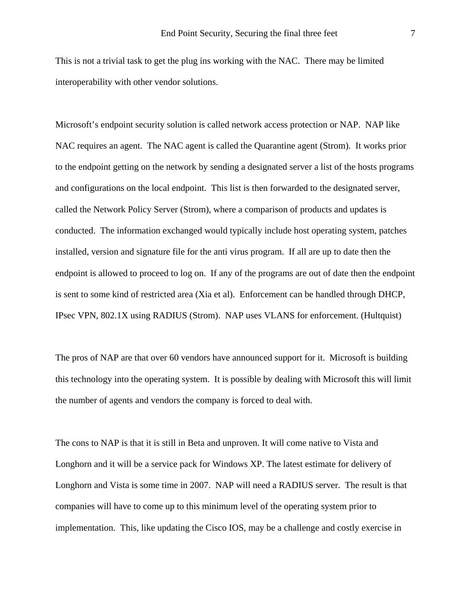This is not a trivial task to get the plug ins working with the NAC. There may be limited interoperability with other vendor solutions.

Microsoft's endpoint security solution is called network access protection or NAP. NAP like NAC requires an agent. The NAC agent is called the Quarantine agent (Strom). It works prior to the endpoint getting on the network by sending a designated server a list of the hosts programs and configurations on the local endpoint. This list is then forwarded to the designated server, called the Network Policy Server (Strom), where a comparison of products and updates is conducted. The information exchanged would typically include host operating system, patches installed, version and signature file for the anti virus program. If all are up to date then the endpoint is allowed to proceed to log on. If any of the programs are out of date then the endpoint is sent to some kind of restricted area (Xia et al). Enforcement can be handled through DHCP, IPsec VPN, 802.1X using RADIUS (Strom). NAP uses VLANS for enforcement. (Hultquist)

The pros of NAP are that over 60 vendors have announced support for it. Microsoft is building this technology into the operating system. It is possible by dealing with Microsoft this will limit the number of agents and vendors the company is forced to deal with.

The cons to NAP is that it is still in Beta and unproven. It will come native to Vista and Longhorn and it will be a service pack for Windows XP. The latest estimate for delivery of Longhorn and Vista is some time in 2007. NAP will need a RADIUS server. The result is that companies will have to come up to this minimum level of the operating system prior to implementation. This, like updating the Cisco IOS, may be a challenge and costly exercise in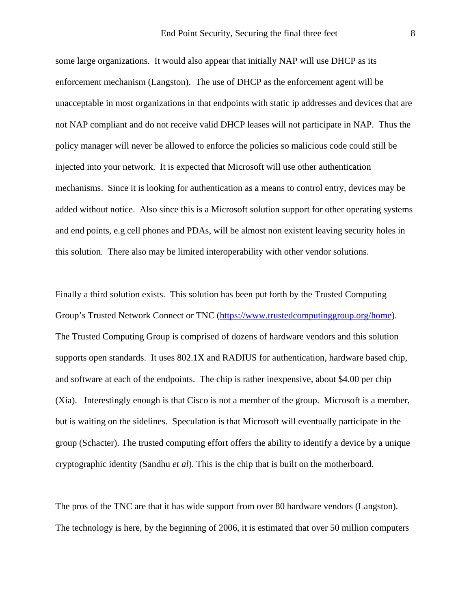some large organizations. It would also appear that initially NAP will use DHCP as its enforcement mechanism (Langston). The use of DHCP as the enforcement agent will be unacceptable in most organizations in that endpoints with static ip addresses and devices that are not NAP compliant and do not receive valid DHCP leases will not participate in NAP. Thus the policy manager will never be allowed to enforce the policies so malicious code could still be injected into your network. It is expected that Microsoft will use other authentication mechanisms. Since it is looking for authentication as a means to control entry, devices may be added without notice. Also since this is a Microsoft solution support for other operating systems and end points, e.g cell phones and PDAs, will be almost non existent leaving security holes in this solution. There also may be limited interoperability with other vendor solutions.

Finally a third solution exists. This solution has been put forth by the Trusted Computing Group's Trusted Network Connect or TNC (https://www.trustedcomputinggroup.org/home). The Trusted Computing Group is comprised of dozens of hardware vendors and this solution supports open standards. It uses 802.1X and RADIUS for authentication, hardware based chip, and software at each of the endpoints. The chip is rather inexpensive, about \$4.00 per chip (Xia). Interestingly enough is that Cisco is not a member of the group. Microsoft is a member, but is waiting on the sidelines. Speculation is that Microsoft will eventually participate in the group (Schacter). The trusted computing effort offers the ability to identify a device by a unique cryptographic identity (Sandhu *et al*). This is the chip that is built on the motherboard.

The pros of the TNC are that it has wide support from over 80 hardware vendors (Langston). The technology is here, by the beginning of 2006, it is estimated that over 50 million computers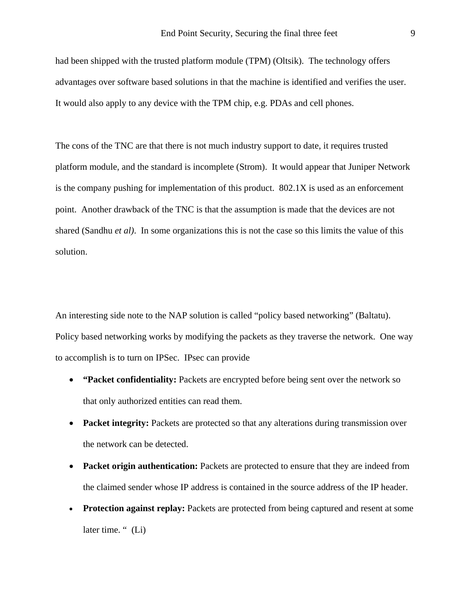had been shipped with the trusted platform module (TPM) (Oltsik). The technology offers advantages over software based solutions in that the machine is identified and verifies the user. It would also apply to any device with the TPM chip, e.g. PDAs and cell phones.

The cons of the TNC are that there is not much industry support to date, it requires trusted platform module, and the standard is incomplete (Strom). It would appear that Juniper Network is the company pushing for implementation of this product. 802.1X is used as an enforcement point. Another drawback of the TNC is that the assumption is made that the devices are not shared (Sandhu *et al)*. In some organizations this is not the case so this limits the value of this solution.

An interesting side note to the NAP solution is called "policy based networking" (Baltatu). Policy based networking works by modifying the packets as they traverse the network. One way to accomplish is to turn on IPSec. IPsec can provide

- **"Packet confidentiality:** Packets are encrypted before being sent over the network so that only authorized entities can read them.
- **Packet integrity:** Packets are protected so that any alterations during transmission over the network can be detected.
- **Packet origin authentication:** Packets are protected to ensure that they are indeed from the claimed sender whose IP address is contained in the source address of the IP header.
- **Protection against replay:** Packets are protected from being captured and resent at some later time. " (Li)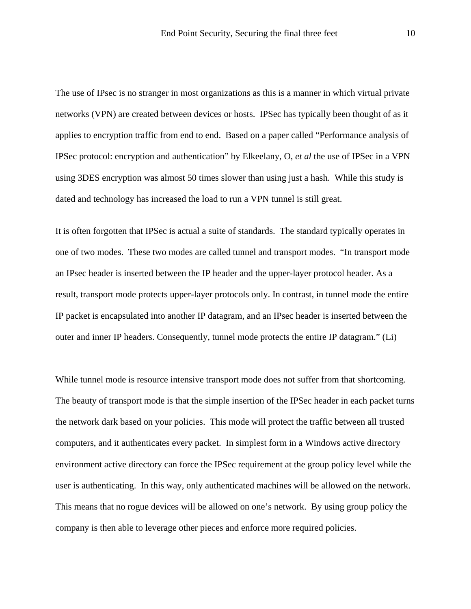The use of IPsec is no stranger in most organizations as this is a manner in which virtual private networks (VPN) are created between devices or hosts. IPSec has typically been thought of as it applies to encryption traffic from end to end. Based on a paper called "Performance analysis of IPSec protocol: encryption and authentication" by Elkeelany, O, *et al* the use of IPSec in a VPN using 3DES encryption was almost 50 times slower than using just a hash. While this study is dated and technology has increased the load to run a VPN tunnel is still great.

It is often forgotten that IPSec is actual a suite of standards. The standard typically operates in one of two modes. These two modes are called tunnel and transport modes. "In transport mode an IPsec header is inserted between the IP header and the upper-layer protocol header. As a result, transport mode protects upper-layer protocols only. In contrast, in tunnel mode the entire IP packet is encapsulated into another IP datagram, and an IPsec header is inserted between the outer and inner IP headers. Consequently, tunnel mode protects the entire IP datagram." (Li)

While tunnel mode is resource intensive transport mode does not suffer from that shortcoming. The beauty of transport mode is that the simple insertion of the IPSec header in each packet turns the network dark based on your policies. This mode will protect the traffic between all trusted computers, and it authenticates every packet. In simplest form in a Windows active directory environment active directory can force the IPSec requirement at the group policy level while the user is authenticating. In this way, only authenticated machines will be allowed on the network. This means that no rogue devices will be allowed on one's network. By using group policy the company is then able to leverage other pieces and enforce more required policies.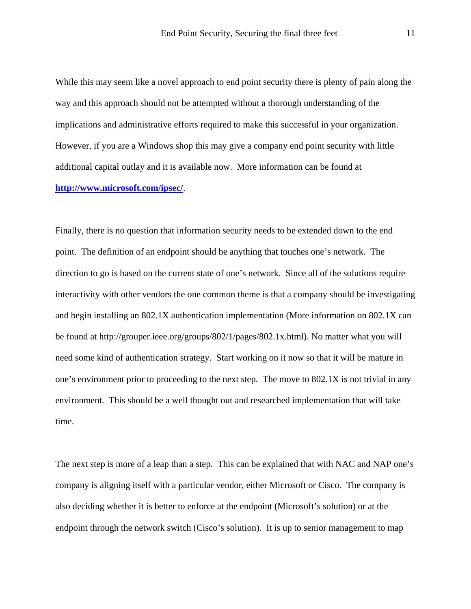While this may seem like a novel approach to end point security there is plenty of pain along the way and this approach should not be attempted without a thorough understanding of the implications and administrative efforts required to make this successful in your organization. However, if you are a Windows shop this may give a company end point security with little additional capital outlay and it is available now. More information can be found at **http://www.microsoft.com/ipsec/**.

Finally, there is no question that information security needs to be extended down to the end point. The definition of an endpoint should be anything that touches one's network. The direction to go is based on the current state of one's network. Since all of the solutions require interactivity with other vendors the one common theme is that a company should be investigating and begin installing an 802.1X authentication implementation (More information on 802.1X can be found at http://grouper.ieee.org/groups/802/1/pages/802.1x.html). No matter what you will need some kind of authentication strategy. Start working on it now so that it will be mature in one's environment prior to proceeding to the next step. The move to 802.1X is not trivial in any environment. This should be a well thought out and researched implementation that will take time.

The next step is more of a leap than a step. This can be explained that with NAC and NAP one's company is aligning itself with a particular vendor, either Microsoft or Cisco. The company is also deciding whether it is better to enforce at the endpoint (Microsoft's solution) or at the endpoint through the network switch (Cisco's solution). It is up to senior management to map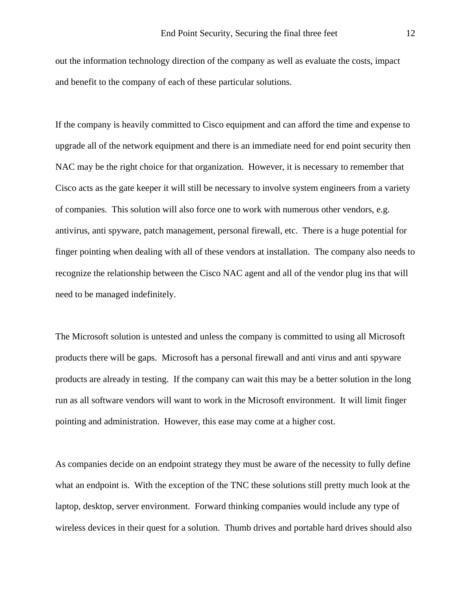out the information technology direction of the company as well as evaluate the costs, impact and benefit to the company of each of these particular solutions.

If the company is heavily committed to Cisco equipment and can afford the time and expense to upgrade all of the network equipment and there is an immediate need for end point security then NAC may be the right choice for that organization. However, it is necessary to remember that Cisco acts as the gate keeper it will still be necessary to involve system engineers from a variety of companies. This solution will also force one to work with numerous other vendors, e.g. antivirus, anti spyware, patch management, personal firewall, etc. There is a huge potential for finger pointing when dealing with all of these vendors at installation. The company also needs to recognize the relationship between the Cisco NAC agent and all of the vendor plug ins that will need to be managed indefinitely.

The Microsoft solution is untested and unless the company is committed to using all Microsoft products there will be gaps. Microsoft has a personal firewall and anti virus and anti spyware products are already in testing. If the company can wait this may be a better solution in the long run as all software vendors will want to work in the Microsoft environment. It will limit finger pointing and administration. However, this ease may come at a higher cost.

As companies decide on an endpoint strategy they must be aware of the necessity to fully define what an endpoint is. With the exception of the TNC these solutions still pretty much look at the laptop, desktop, server environment. Forward thinking companies would include any type of wireless devices in their quest for a solution. Thumb drives and portable hard drives should also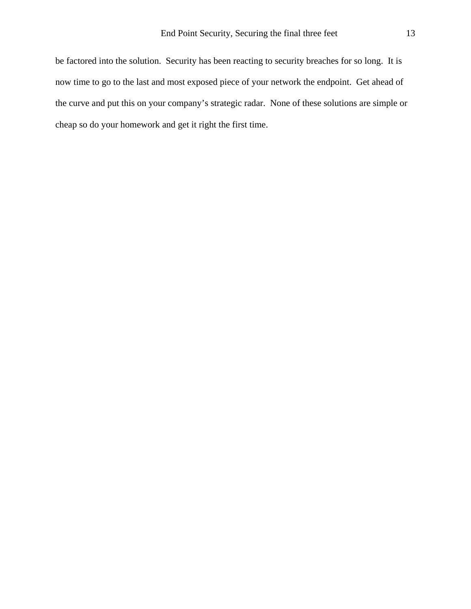be factored into the solution. Security has been reacting to security breaches for so long. It is now time to go to the last and most exposed piece of your network the endpoint. Get ahead of the curve and put this on your company's strategic radar. None of these solutions are simple or cheap so do your homework and get it right the first time.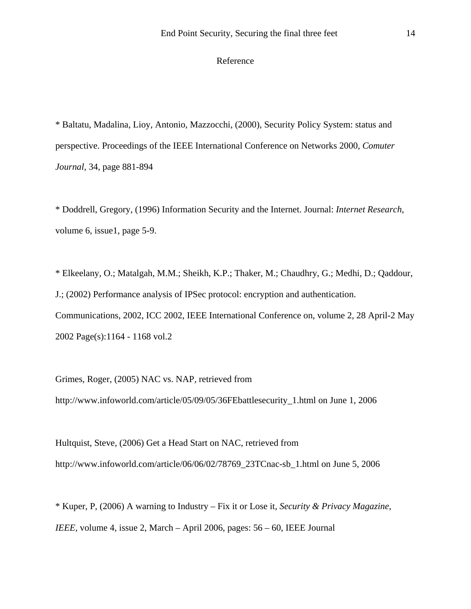## Reference

\* Baltatu, Madalina, Lioy, Antonio, Mazzocchi, (2000), Security Policy System: status and perspective. Proceedings of the IEEE International Conference on Networks 2000, *Comuter Journal,* 34, page 881-894

\* Doddrell, Gregory, (1996) Information Security and the Internet. Journal: *Internet Research*, volume 6, issue1, page 5-9.

\* Elkeelany, O.; Matalgah, M.M.; Sheikh, K.P.; Thaker, M.; Chaudhry, G.; Medhi, D.; Qaddour, J.; (2002) Performance analysis of IPSec protocol: encryption and authentication. Communications, 2002, ICC 2002, IEEE International Conference on, volume 2, 28 April-2 May 2002 Page(s):1164 - 1168 vol.2

Grimes, Roger, (2005) NAC vs. NAP*,* retrieved from http://www.infoworld.com/article/05/09/05/36FEbattlesecurity\_1.html on June 1, 2006

Hultquist, Steve, (2006) Get a Head Start on NAC, retrieved from http://www.infoworld.com/article/06/06/02/78769\_23TCnac-sb\_1.html on June 5, 2006

\* Kuper, P, (2006) A warning to Industry – Fix it or Lose it, *Security & Privacy Magazine, IEEE,* volume 4, issue 2, March – April 2006, pages: 56 – 60, IEEE Journal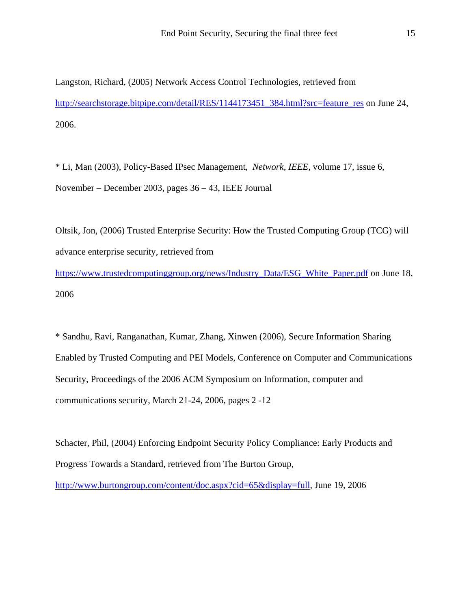Langston, Richard, (2005) Network Access Control Technologies, retrieved from http://searchstorage.bitpipe.com/detail/RES/1144173451\_384.html?src=feature\_res on June 24, 2006.

\* Li, Man (2003), Policy-Based IPsec Management, *Network, IEEE,* volume 17, issue 6, November – December 2003, pages 36 – 43, IEEE Journal

Oltsik, Jon, (2006) Trusted Enterprise Security: How the Trusted Computing Group (TCG) will advance enterprise security, retrieved from

https://www.trustedcomputinggroup.org/news/Industry\_Data/ESG\_White\_Paper.pdf on June 18, 2006

\* Sandhu, Ravi, Ranganathan, Kumar, Zhang, Xinwen (2006), Secure Information Sharing Enabled by Trusted Computing and PEI Models, Conference on Computer and Communications Security, Proceedings of the 2006 ACM Symposium on Information, computer and communications security, March 21-24, 2006, pages 2 -12

Schacter, Phil, (2004) Enforcing Endpoint Security Policy Compliance: Early Products and Progress Towards a Standard, retrieved from The Burton Group,

http://www.burtongroup.com/content/doc.aspx?cid=65&display=full, June 19, 2006